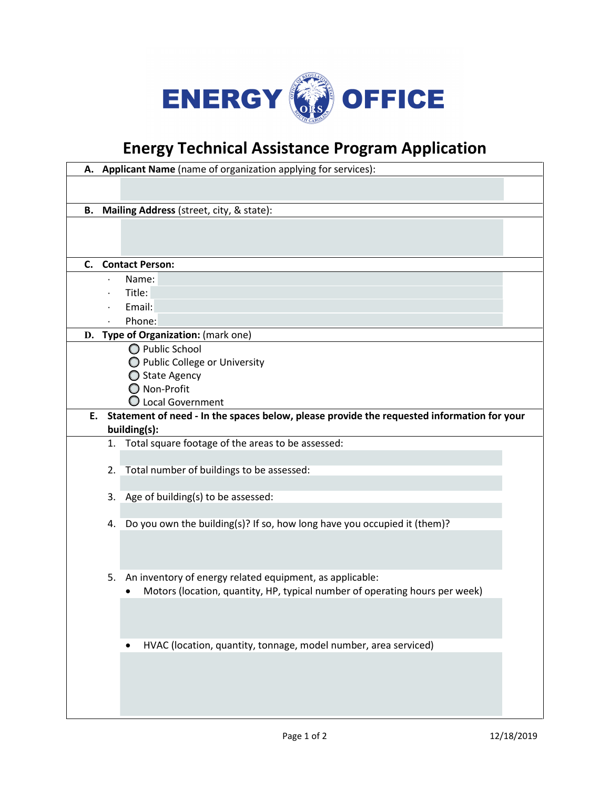

## **Energy Technical Assistance Program Application**

|                                                                                               |                 | A. Applicant Name (name of organization applying for services):             |  |  |
|-----------------------------------------------------------------------------------------------|-----------------|-----------------------------------------------------------------------------|--|--|
|                                                                                               |                 |                                                                             |  |  |
|                                                                                               |                 |                                                                             |  |  |
| В.                                                                                            |                 | Mailing Address (street, city, & state):                                    |  |  |
|                                                                                               |                 |                                                                             |  |  |
|                                                                                               |                 |                                                                             |  |  |
| C.                                                                                            |                 | <b>Contact Person:</b>                                                      |  |  |
|                                                                                               |                 | Name:                                                                       |  |  |
|                                                                                               |                 | Title:                                                                      |  |  |
|                                                                                               |                 | Email:                                                                      |  |  |
|                                                                                               |                 | Phone:                                                                      |  |  |
|                                                                                               |                 | D. Type of Organization: (mark one)                                         |  |  |
|                                                                                               | O Public School |                                                                             |  |  |
|                                                                                               |                 | O Public College or University                                              |  |  |
|                                                                                               |                 | ◯ State Agency                                                              |  |  |
|                                                                                               |                 | O Non-Profit                                                                |  |  |
|                                                                                               |                 | $\bigcirc$ Local Government                                                 |  |  |
| E. Statement of need - In the spaces below, please provide the requested information for your |                 |                                                                             |  |  |
|                                                                                               |                 | building(s):                                                                |  |  |
|                                                                                               |                 | 1. Total square footage of the areas to be assessed:                        |  |  |
|                                                                                               |                 | 2. Total number of buildings to be assessed:                                |  |  |
|                                                                                               |                 |                                                                             |  |  |
|                                                                                               |                 | 3. Age of building(s) to be assessed:                                       |  |  |
|                                                                                               |                 |                                                                             |  |  |
|                                                                                               |                 | 4. Do you own the building(s)? If so, how long have you occupied it (them)? |  |  |
|                                                                                               |                 |                                                                             |  |  |
|                                                                                               |                 |                                                                             |  |  |
|                                                                                               |                 |                                                                             |  |  |
|                                                                                               | 5.              | An inventory of energy related equipment, as applicable:                    |  |  |
|                                                                                               |                 | Motors (location, quantity, HP, typical number of operating hours per week) |  |  |
|                                                                                               |                 |                                                                             |  |  |
|                                                                                               |                 |                                                                             |  |  |
|                                                                                               |                 | HVAC (location, quantity, tonnage, model number, area serviced)             |  |  |
|                                                                                               |                 |                                                                             |  |  |
|                                                                                               |                 |                                                                             |  |  |
|                                                                                               |                 |                                                                             |  |  |
|                                                                                               |                 |                                                                             |  |  |
|                                                                                               |                 |                                                                             |  |  |